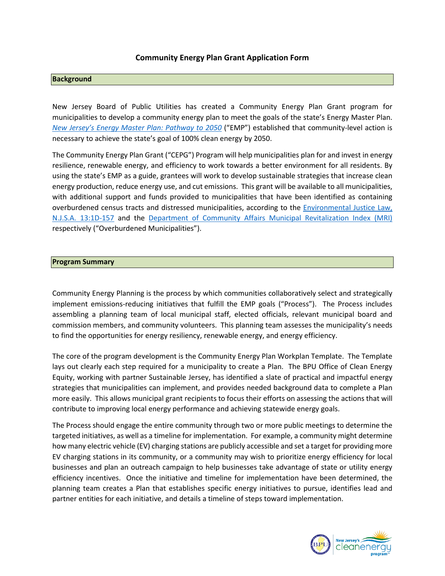#### **Community Energy Plan Grant Application Form**

#### **Background**

New Jersey Board of Public Utilities has created a Community Energy Plan Grant program for municipalities to develop a community energy plan to meet the goals of the state's Energy Master Plan. *[New Jersey's Energy Master Plan: Pathway to 2050](https://nj.gov/emp/docs/pdf/2020_NJBPU_EMP.pdf)* ("EMP") established that community-level action is necessary to achieve the state's goal of 100% clean energy by 2050.

The Community Energy Plan Grant ("CEPG") Program will help municipalities plan for and invest in energy resilience, renewable energy, and efficiency to work towards a better environment for all residents. By using the state's EMP as a guide, grantees will work to develop sustainable strategies that increase clean energy production, reduce energy use, and cut emissions. This grant will be available to all municipalities, with additional support and funds provided to municipalities that have been identified as containing overburdened census tracts and distressed municipalities, according to the *Environmental Justice Law*, [N.J.S.A. 13:1D-157](https://www.nj.gov/dep/ej/docs/ej-law.pdf) and the [Department of Community Affairs Municipal Revitalization Index \(MRI\)](https://nj.gov/dca/home/MuniRevitIndex.html) respectively ("Overburdened Municipalities").

#### **Program Summary**

Community Energy Planning is the process by which communities collaboratively select and strategically implement emissions-reducing initiatives that fulfill the EMP goals ("Process"). The Process includes assembling a planning team of local municipal staff, elected officials, relevant municipal board and commission members, and community volunteers. This planning team assesses the municipality's needs to find the opportunities for energy resiliency, renewable energy, and energy efficiency.

The core of the program development is the Community Energy Plan Workplan Template. The Template lays out clearly each step required for a municipality to create a Plan. The BPU Office of Clean Energy Equity, working with partner Sustainable Jersey, has identified a slate of practical and impactful energy strategies that municipalities can implement, and provides needed background data to complete a Plan more easily. This allows municipal grant recipients to focus their efforts on assessing the actions that will contribute to improving local energy performance and achieving statewide energy goals.

The Process should engage the entire community through two or more public meetings to determine the targeted initiatives, as well as a timeline for implementation. For example, a community might determine how many electric vehicle (EV) charging stations are publicly accessible and set a target for providing more EV charging stations in its community, or a community may wish to prioritize energy efficiency for local businesses and plan an outreach campaign to help businesses take advantage of state or utility energy efficiency incentives. Once the initiative and timeline for implementation have been determined, the planning team creates a Plan that establishes specific energy initiatives to pursue, identifies lead and partner entities for each initiative, and details a timeline of steps toward implementation.

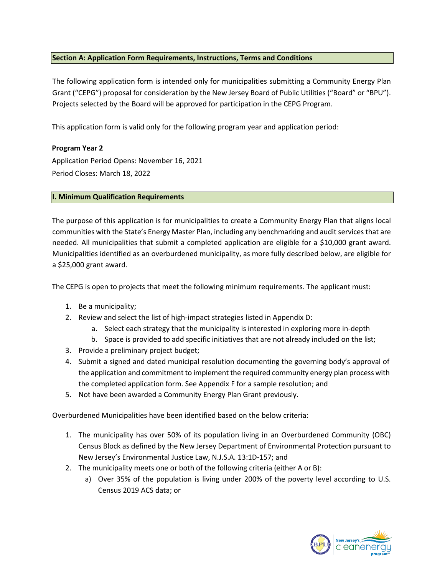## **Section A: Application Form Requirements, Instructions, Terms and Conditions**

The following application form is intended only for municipalities submitting a Community Energy Plan Grant ("CEPG") proposal for consideration by the New Jersey Board of Public Utilities ("Board" or "BPU"). Projects selected by the Board will be approved for participation in the CEPG Program.

This application form is valid only for the following program year and application period:

## **Program Year 2**

Application Period Opens: November 16, 2021 Period Closes: March 18, 2022

## **I. Minimum Qualification Requirements**

The purpose of this application is for municipalities to create a Community Energy Plan that aligns local communities with the State's Energy Master Plan, including any benchmarking and audit services that are needed. All municipalities that submit a completed application are eligible for a \$10,000 grant award. Municipalities identified as an overburdened municipality, as more fully described below, are eligible for a \$25,000 grant award.

The CEPG is open to projects that meet the following minimum requirements. The applicant must:

- 1. Be a municipality;
- 2. Review and select the list of high-impact strategies listed in Appendix D:
	- a. Select each strategy that the municipality is interested in exploring more in-depth
	- b. Space is provided to add specific initiatives that are not already included on the list;
- 3. Provide a preliminary project budget;
- 4. Submit a signed and dated municipal resolution documenting the governing body's approval of the application and commitment to implement the required community energy plan process with the completed application form. See Appendix F for a sample resolution; and
- 5. Not have been awarded a Community Energy Plan Grant previously.

Overburdened Municipalities have been identified based on the below criteria:

- 1. The municipality has over 50% of its population living in an Overburdened Community (OBC) Census Block as defined by the New Jersey Department of Environmental Protection pursuant to New Jersey's Environmental Justice Law, N.J.S.A. 13:1D-157; and
- 2. The municipality meets one or both of the following criteria (either A or B):
	- a) Over 35% of the population is living under 200% of the poverty level according to U.S. Census 2019 ACS data; or

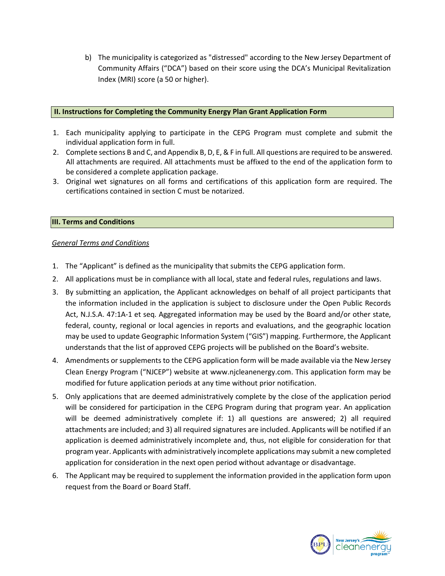b) The municipality is categorized as "distressed" according to the New Jersey Department of Community Affairs ("DCA") based on their score using the DCA's Municipal Revitalization Index (MRI) score (a 50 or higher).

#### **II. Instructions for Completing the Community Energy Plan Grant Application Form**

- 1. Each municipality applying to participate in the CEPG Program must complete and submit the individual application form in full.
- 2. Complete sections B and C, and Appendix B, D, E, & F in full. All questions are required to be answered. All attachments are required. All attachments must be affixed to the end of the application form to be considered a complete application package.
- 3. Original wet signatures on all forms and certifications of this application form are required. The certifications contained in section C must be notarized.

## **III. Terms and Conditions**

## *General Terms and Conditions*

- 1. The "Applicant" is defined as the municipality that submits the CEPG application form.
- 2. All applications must be in compliance with all local, state and federal rules, regulations and laws.
- 3. By submitting an application, the Applicant acknowledges on behalf of all project participants that the information included in the application is subject to disclosure under the Open Public Records Act, N.J.S.A. 47:1A-1 et seq. Aggregated information may be used by the Board and/or other state, federal, county, regional or local agencies in reports and evaluations, and the geographic location may be used to update Geographic Information System ("GIS") mapping. Furthermore, the Applicant understands that the list of approved CEPG projects will be published on the Board's website.
- 4. Amendments or supplements to the CEPG application form will be made available via the New Jersey Clean Energy Program ("NJCEP") website [at www.njcleanenergy.com. T](http://www.njcleanenergy.com/)his application form may be modified for future application periods at any time without prior notification.
- 5. Only applications that are deemed administratively complete by the close of the application period will be considered for participation in the CEPG Program during that program year. An application will be deemed administratively complete if: 1) all questions are answered; 2) all required attachments are included; and 3) all required signatures are included. Applicants will be notified if an application is deemed administratively incomplete and, thus, not eligible for consideration for that program year. Applicants with administratively incomplete applications may submit a new completed application for consideration in the next open period without advantage or disadvantage.
- 6. The Applicant may be required to supplement the information provided in the application form upon request from the Board or Board Staff.

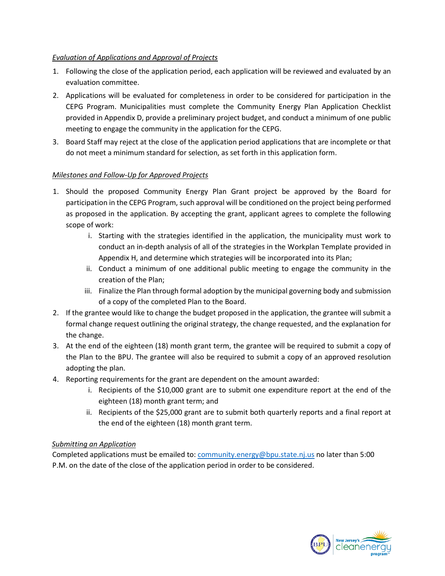## *Evaluation of Applications and Approval of Projects*

- 1. Following the close of the application period, each application will be reviewed and evaluated by an evaluation committee.
- 2. Applications will be evaluated for completeness in order to be considered for participation in the CEPG Program. Municipalities must complete the Community Energy Plan Application Checklist provided in Appendix D, provide a preliminary project budget, and conduct a minimum of one public meeting to engage the community in the application for the CEPG.
- 3. Board Staff may reject at the close of the application period applications that are incomplete or that do not meet a minimum standard for selection, as set forth in this application form.

## *Milestones and Follow-Up for Approved Projects*

- 1. Should the proposed Community Energy Plan Grant project be approved by the Board for participation in the CEPG Program, such approval will be conditioned on the project being performed as proposed in the application. By accepting the grant, applicant agrees to complete the following scope of work:
	- i. Starting with the strategies identified in the application, the municipality must work to conduct an in-depth analysis of all of the strategies in the Workplan Template provided in Appendix H, and determine which strategies will be incorporated into its Plan;
	- ii. Conduct a minimum of one additional public meeting to engage the community in the creation of the Plan;
	- iii. Finalize the Plan through formal adoption by the municipal governing body and submission of a copy of the completed Plan to the Board.
- 2. If the grantee would like to change the budget proposed in the application, the grantee will submit a formal change request outlining the original strategy, the change requested, and the explanation for the change.
- 3. At the end of the eighteen (18) month grant term, the grantee will be required to submit a copy of the Plan to the BPU. The grantee will also be required to submit a copy of an approved resolution adopting the plan.
- 4. Reporting requirements for the grant are dependent on the amount awarded:
	- i. Recipients of the \$10,000 grant are to submit one expenditure report at the end of the eighteen (18) month grant term; and
	- ii. Recipients of the \$25,000 grant are to submit both quarterly reports and a final report at the end of the eighteen (18) month grant term.

## *Submitting an Application*

Completed applications must be emailed to: [community.energy@bpu.state.nj.us](mailto:tocommunity.energy@bpu.state.nj.us) no later than 5:00 P.M. on the date of the close of the application period in order to be considered.

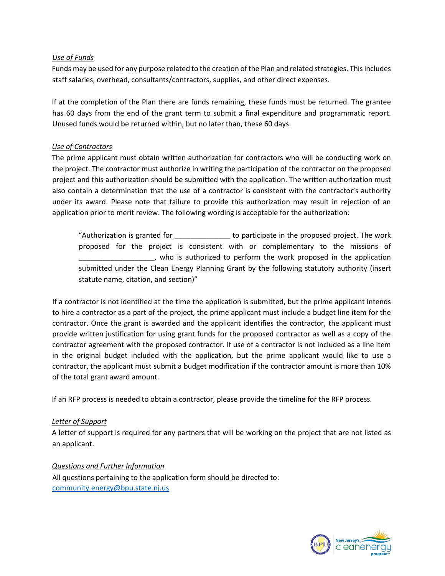## *Use of Funds*

Funds may be used for any purpose related to the creation of the Plan and related strategies. This includes staff salaries, overhead, consultants/contractors, supplies, and other direct expenses.

If at the completion of the Plan there are funds remaining, these funds must be returned. The grantee has 60 days from the end of the grant term to submit a final expenditure and programmatic report. Unused funds would be returned within, but no later than, these 60 days.

## *Use of Contractors*

The prime applicant must obtain written authorization for contractors who will be conducting work on the project. The contractor must authorize in writing the participation of the contractor on the proposed project and this authorization should be submitted with the application. The written authorization must also contain a determination that the use of a contractor is consistent with the contractor's authority under its award. Please note that failure to provide this authorization may result in rejection of an application prior to merit review. The following wording is acceptable for the authorization:

"Authorization is granted for \_\_\_\_\_\_\_\_\_\_\_\_\_\_ to participate in the proposed project. The work proposed for the project is consistent with or complementary to the missions of \_\_\_\_\_\_\_\_\_\_\_\_\_\_\_\_\_\_\_, who is authorized to perform the work proposed in the application submitted under the Clean Energy Planning Grant by the following statutory authority (insert statute name, citation, and section)"

If a contractor is not identified at the time the application is submitted, but the prime applicant intends to hire a contractor as a part of the project, the prime applicant must include a budget line item for the contractor. Once the grant is awarded and the applicant identifies the contractor, the applicant must provide written justification for using grant funds for the proposed contractor as well as a copy of the contractor agreement with the proposed contractor. If use of a contractor is not included as a line item in the original budget included with the application, but the prime applicant would like to use a contractor, the applicant must submit a budget modification if the contractor amount is more than 10% of the total grant award amount.

If an RFP process is needed to obtain a contractor, please provide the timeline for the RFP process.

## *Letter of Support*

A letter of support is required for any partners that will be working on the project that are not listed as an applicant.

*Questions and Further Information* All questions pertaining to the application form should be directed to: [community.energy@bpu.state.nj.us](mailto:community.energy@bpu.state.nj.us)

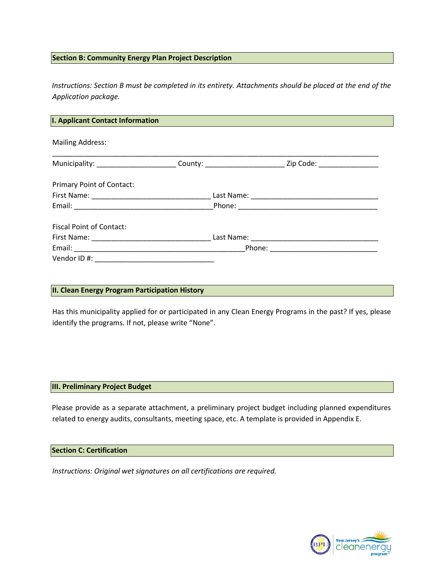#### **Section B: Community Energy Plan Project Description**

*Instructions: Section B must be completed in its entirety. Attachments should be placed at the end of the Application package.*

| I. Applicant Contact Information |                                                                                                                |  |
|----------------------------------|----------------------------------------------------------------------------------------------------------------|--|
| <b>Mailing Address:</b>          |                                                                                                                |  |
|                                  | Municipality: _________________________County: __________________________________ Zip Code: __________________ |  |
| <b>Primary Point of Contact:</b> |                                                                                                                |  |
|                                  |                                                                                                                |  |
|                                  |                                                                                                                |  |
| <b>Fiscal Point of Contact:</b>  |                                                                                                                |  |
|                                  |                                                                                                                |  |
|                                  |                                                                                                                |  |
|                                  |                                                                                                                |  |

#### **II. Clean Energy Program Participation History**

Has this municipality applied for or participated in any Clean Energy Programs in the past? If yes, please identify the programs. If not, please write "None".

#### **III. Preliminary Project Budget**

Please provide as a separate attachment, a preliminary project budget including planned expenditures related to energy audits, consultants, meeting space, etc. A template is provided in Appendix E.

#### **Section C: Certification**

*Instructions: Original wet signatures on all certifications are required.* 

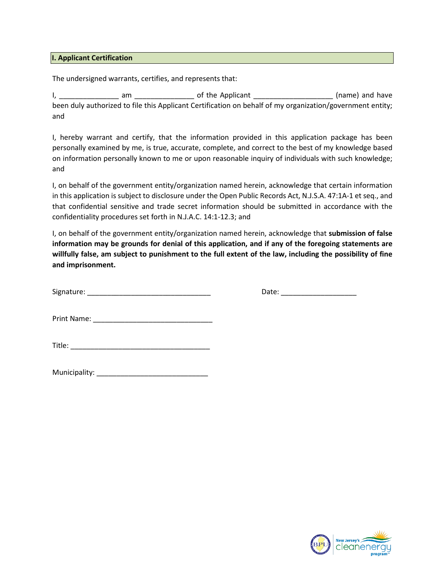#### **I. Applicant Certification**

The undersigned warrants, certifies, and represents that:

I, \_\_\_\_\_\_\_\_\_\_\_\_\_\_\_ am \_\_\_\_\_\_\_\_\_\_\_\_\_\_\_ of the Applicant \_\_\_\_\_\_\_\_\_\_\_\_\_\_\_\_\_\_\_\_ (name) and have been duly authorized to file this Applicant Certification on behalf of my organization/government entity; and

I, hereby warrant and certify, that the information provided in this application package has been personally examined by me, is true, accurate, complete, and correct to the best of my knowledge based on information personally known to me or upon reasonable inquiry of individuals with such knowledge; and

I, on behalf of the government entity/organization named herein, acknowledge that certain information in this application is subject to disclosure under the Open Public Records Act, N.J.S.A. 47:1A-1 et seq., and that confidential sensitive and trade secret information should be submitted in accordance with the confidentiality procedures set forth in N.J.A.C. 14:1-12.3; and

I, on behalf of the government entity/organization named herein, acknowledge that **submission of false information may be grounds for denial of this application, and if any of the foregoing statements are willfully false, am subject to punishment to the full extent of the law, including the possibility of fine and imprisonment.**

| Signature: |  |  |  |
|------------|--|--|--|
|            |  |  |  |

Date:  $\frac{1}{\sqrt{2\pi}}$ 

Print Name: \_\_\_\_\_\_\_\_\_\_\_\_\_\_\_\_\_\_\_\_\_\_\_\_\_\_\_\_\_\_

| Municipality: |  |
|---------------|--|
|---------------|--|

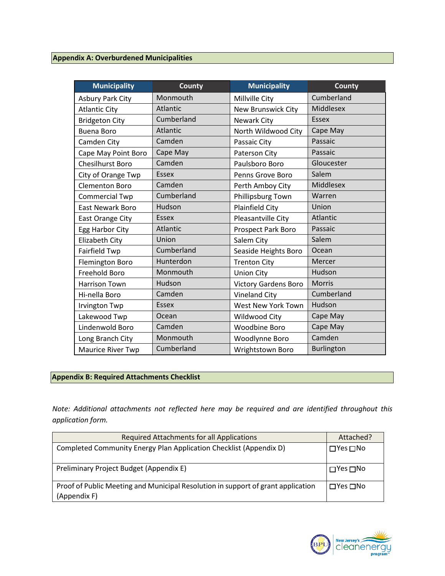| <b>Municipality</b>      | <b>County</b>   | <b>Municipality</b>         | <b>County</b>    |
|--------------------------|-----------------|-----------------------------|------------------|
| <b>Asbury Park City</b>  | Monmouth        | Millville City              | Cumberland       |
| <b>Atlantic City</b>     | Atlantic        | New Brunswick City          | Middlesex        |
| <b>Bridgeton City</b>    | Cumberland      | Newark City                 | <b>Essex</b>     |
| <b>Buena Boro</b>        | Atlantic        | North Wildwood City         | Cape May         |
| Camden City              | Camden          | Passaic City                | Passaic          |
| Cape May Point Boro      | Cape May        | Paterson City               | Passaic          |
| Chesilhurst Boro         | Camden          | Paulsboro Boro              | Gloucester       |
| City of Orange Twp       | <b>Essex</b>    | Penns Grove Boro            | Salem            |
| <b>Clementon Boro</b>    | Camden          | Perth Amboy City            | <b>Middlesex</b> |
| <b>Commercial Twp</b>    | Cumberland      | Phillipsburg Town           | Warren           |
| <b>East Newark Boro</b>  | Hudson          | <b>Plainfield City</b>      | Union            |
| East Orange City         | <b>Essex</b>    | Pleasantville City          | Atlantic         |
| Egg Harbor City          | <b>Atlantic</b> | <b>Prospect Park Boro</b>   | Passaic          |
| Elizabeth City           | Union           | Salem City                  | Salem            |
| Fairfield Twp            | Cumberland      | Seaside Heights Boro        | Ocean            |
| Flemington Boro          | Hunterdon       | <b>Trenton City</b>         | Mercer           |
| Freehold Boro            | Monmouth        | <b>Union City</b>           | Hudson           |
| <b>Harrison Town</b>     | Hudson          | <b>Victory Gardens Boro</b> | <b>Morris</b>    |
| Hi-nella Boro            | Camden          | <b>Vineland City</b>        | Cumberland       |
| Irvington Twp            | <b>Essex</b>    | West New York Town          | Hudson           |
| Lakewood Twp             | Ocean           | Wildwood City               | Cape May         |
| Lindenwold Boro          | Camden          | Woodbine Boro               | Cape May         |
| Long Branch City         | Monmouth        | Woodlynne Boro              | Camden           |
| <b>Maurice River Twp</b> | Cumberland      | Wrightstown Boro            | Burlington       |

# **Appendix B: Required Attachments Checklist**

*Note: Additional attachments not reflected here may be required and are identified throughout this application form.*

| Required Attachments for all Applications                                                        | Attached?                  |
|--------------------------------------------------------------------------------------------------|----------------------------|
| Completed Community Energy Plan Application Checklist (Appendix D)                               | $\square$ Yes $\square$ No |
| Preliminary Project Budget (Appendix E)                                                          | $\square$ Yes $\square$ No |
| Proof of Public Meeting and Municipal Resolution in support of grant application<br>(Appendix F) | $\Box$ Yes $\Box$ No       |

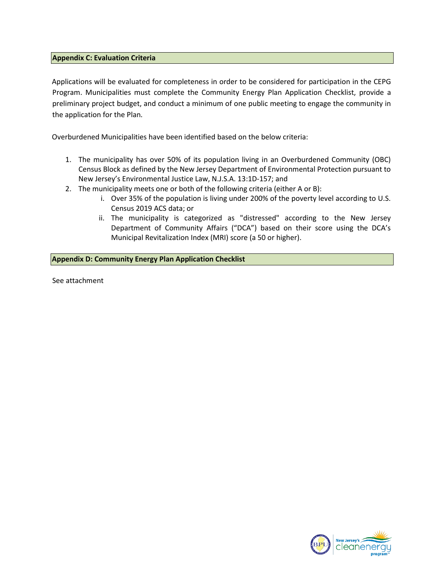#### **Appendix C: Evaluation Criteria**

Applications will be evaluated for completeness in order to be considered for participation in the CEPG Program. Municipalities must complete the Community Energy Plan Application Checklist, provide a preliminary project budget, and conduct a minimum of one public meeting to engage the community in the application for the Plan.

Overburdened Municipalities have been identified based on the below criteria:

- 1. The municipality has over 50% of its population living in an Overburdened Community (OBC) Census Block as defined by the New Jersey Department of Environmental Protection pursuant to New Jersey's Environmental Justice Law, N.J.S.A. 13:1D-157; and
- 2. The municipality meets one or both of the following criteria (either A or B):
	- i. Over 35% of the population is living under 200% of the poverty level according to U.S. Census 2019 ACS data; or
	- ii. The municipality is categorized as "distressed" according to the New Jersey Department of Community Affairs ("DCA") based on their score using the DCA's Municipal Revitalization Index (MRI) score (a 50 or higher).

**Appendix D: Community Energy Plan Application Checklist**

See attachment

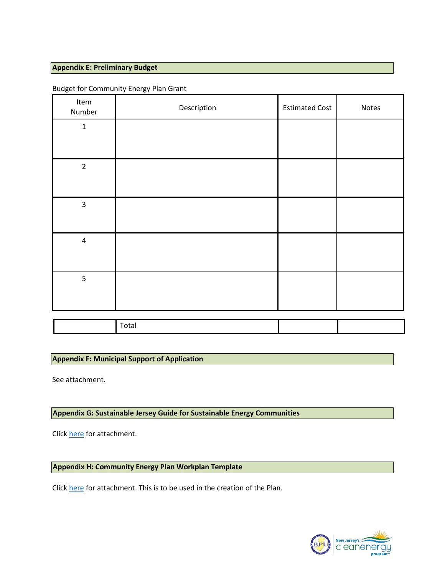#### **Appendix E: Preliminary Budget**

| Item<br>Number          | Description | <b>Estimated Cost</b> | Notes |
|-------------------------|-------------|-----------------------|-------|
| $\mathbf 1$             |             |                       |       |
| $\overline{2}$          |             |                       |       |
| $\overline{\mathbf{3}}$ |             |                       |       |
| $\overline{4}$          |             |                       |       |
| $\overline{5}$          |             |                       |       |
|                         | Total       |                       |       |

#### Budget for Community Energy Plan Grant

## **Appendix F: Municipal Support of Application**

See attachment.

## **Appendix G: Sustainable Jersey Guide for Sustainable Energy Communities**

Click [here](https://www.sustainablejersey.com/fileadmin/media/Actions_and_Certification/Actions/Energy/SJ_Sustainable_Energy_Communities_Guide10_2021.pdf) for attachment.

**Appendix H: Community Energy Plan Workplan Template**

Click [here](https://www.sustainablejersey.com/fileadmin/media/Actions_and_Certification/Actions/Energy/Community_Energy_Plan_Workplan_Template10_2021.pdf) for attachment. This is to be used in the creation of the Plan.

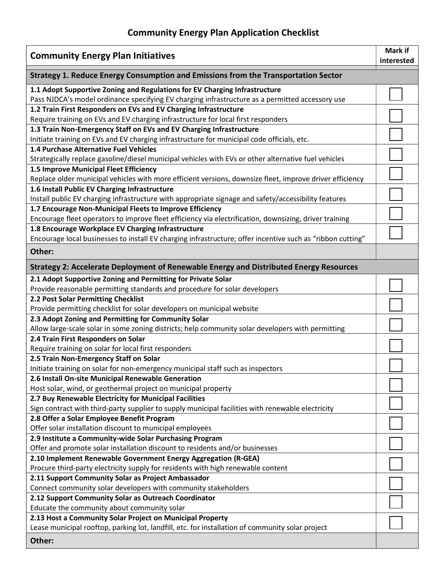# Community Energy Plan **Application** Checklist

| <b>Community Energy Plan Initiatives</b>                                                                                                              |  |  |  |
|-------------------------------------------------------------------------------------------------------------------------------------------------------|--|--|--|
| Strategy 1. Reduce Energy Consumption and Emissions from the Transportation Sector                                                                    |  |  |  |
| 1.1 Adopt Supportive Zoning and Regulations for EV Charging Infrastructure                                                                            |  |  |  |
| Pass NJDCA's model ordinance specifying EV charging infrastructure as a permitted accessory use                                                       |  |  |  |
| 1.2 Train First Responders on EVs and EV Charging Infrastructure<br>Require training on EVs and EV charging infrastructure for local first responders |  |  |  |
| 1.3 Train Non-Emergency Staff on EVs and EV Charging Infrastructure                                                                                   |  |  |  |
| Initiate training on EVs and EV charging infrastructure for municipal code officials, etc.                                                            |  |  |  |
| 1.4 Purchase Alternative Fuel Vehicles                                                                                                                |  |  |  |
| Strategically replace gasoline/diesel municipal vehicles with EVs or other alternative fuel vehicles                                                  |  |  |  |
| 1.5 Improve Municipal Fleet Efficiency                                                                                                                |  |  |  |
| Replace older municipal vehicles with more efficient versions, downsize fleet, improve driver efficiency                                              |  |  |  |
| 1.6 Install Public EV Charging Infrastructure                                                                                                         |  |  |  |
| Install public EV charging infrastructure with appropriate signage and safety/accessibility features                                                  |  |  |  |
| 1.7 Encourage Non-Municipal Fleets to Improve Efficiency                                                                                              |  |  |  |
| Encourage fleet operators to improve fleet efficiency via electrification, downsizing, driver training                                                |  |  |  |
| 1.8 Encourage Workplace EV Charging Infrastructure                                                                                                    |  |  |  |
| Encourage local businesses to install EV charging infrastructure; offer incentive such as "ribbon cutting"                                            |  |  |  |
| Other:                                                                                                                                                |  |  |  |
| Strategy 2: Accelerate Deployment of Renewable Energy and Distributed Energy Resources                                                                |  |  |  |
| 2.1 Adopt Supportive Zoning and Permitting for Private Solar                                                                                          |  |  |  |
| Provide reasonable permitting standards and procedure for solar developers                                                                            |  |  |  |
| 2.2 Post Solar Permitting Checklist                                                                                                                   |  |  |  |
| Provide permitting checklist for solar developers on municipal website                                                                                |  |  |  |
| 2.3 Adopt Zoning and Permitting for Community Solar                                                                                                   |  |  |  |
| Allow large-scale solar in some zoning districts; help community solar developers with permitting<br>2.4 Train First Responders on Solar              |  |  |  |
| Require training on solar for local first responders                                                                                                  |  |  |  |
| 2.5 Train Non-Emergency Staff on Solar                                                                                                                |  |  |  |
| Initiate training on solar for non-emergency municipal staff such as inspectors                                                                       |  |  |  |
| 2.6 Install On-site Municipal Renewable Generation                                                                                                    |  |  |  |
| Host solar, wind, or geothermal project on municipal property                                                                                         |  |  |  |
| 2.7 Buy Renewable Electricity for Municipal Facilities                                                                                                |  |  |  |
| Sign contract with third-party supplier to supply municipal facilities with renewable electricity                                                     |  |  |  |
| 2.8 Offer a Solar Employee Benefit Program                                                                                                            |  |  |  |
| Offer solar installation discount to municipal employees                                                                                              |  |  |  |
| 2.9 Institute a Community-wide Solar Purchasing Program                                                                                               |  |  |  |
| Offer and promote solar installation discount to residents and/or businesses                                                                          |  |  |  |
| 2.10 Implement Renewable Government Energy Aggregation (R-GEA)                                                                                        |  |  |  |
| Procure third-party electricity supply for residents with high renewable content                                                                      |  |  |  |
| 2.11 Support Community Solar as Project Ambassador                                                                                                    |  |  |  |
| Connect community solar developers with community stakeholders                                                                                        |  |  |  |
| 2.12 Support Community Solar as Outreach Coordinator                                                                                                  |  |  |  |
| Educate the community about community solar                                                                                                           |  |  |  |
| 2.13 Host a Community Solar Project on Municipal Property                                                                                             |  |  |  |
| Lease municipal rooftop, parking lot, landfill, etc. for installation of community solar project                                                      |  |  |  |
| Other:                                                                                                                                                |  |  |  |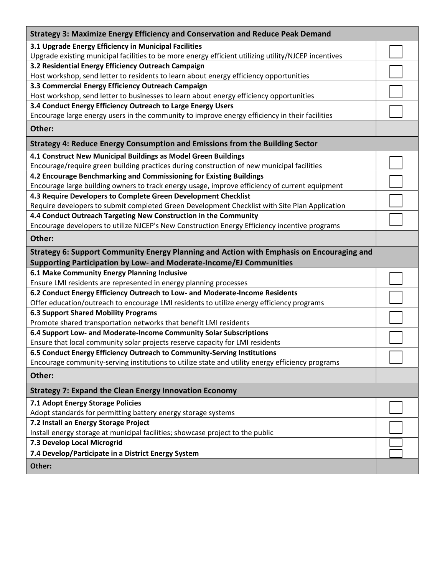| <b>Strategy 3: Maximize Energy Efficiency and Conservation and Reduce Peak Demand</b>                |  |
|------------------------------------------------------------------------------------------------------|--|
| 3.1 Upgrade Energy Efficiency in Municipal Facilities                                                |  |
| Upgrade existing municipal facilities to be more energy efficient utilizing utility/NJCEP incentives |  |
| 3.2 Residential Energy Efficiency Outreach Campaign                                                  |  |
| Host workshop, send letter to residents to learn about energy efficiency opportunities               |  |
| 3.3 Commercial Energy Efficiency Outreach Campaign                                                   |  |
| Host workshop, send letter to businesses to learn about energy efficiency opportunities              |  |
| 3.4 Conduct Energy Efficiency Outreach to Large Energy Users                                         |  |
| Encourage large energy users in the community to improve energy efficiency in their facilities       |  |
| Other:                                                                                               |  |
| Strategy 4: Reduce Energy Consumption and Emissions from the Building Sector                         |  |
| 4.1 Construct New Municipal Buildings as Model Green Buildings                                       |  |
| Encourage/require green building practices during construction of new municipal facilities           |  |
| 4.2 Encourage Benchmarking and Commissioning for Existing Buildings                                  |  |
| Encourage large building owners to track energy usage, improve efficiency of current equipment       |  |
| 4.3 Require Developers to Complete Green Development Checklist                                       |  |
| Require developers to submit completed Green Development Checklist with Site Plan Application        |  |
| 4.4 Conduct Outreach Targeting New Construction in the Community                                     |  |
| Encourage developers to utilize NJCEP's New Construction Energy Efficiency incentive programs        |  |
| Other:                                                                                               |  |
| Strategy 6: Support Community Energy Planning and Action with Emphasis on Encouraging and            |  |
| Supporting Participation by Low- and Moderate-Income/EJ Communities                                  |  |
| 6.1 Make Community Energy Planning Inclusive                                                         |  |
| Ensure LMI residents are represented in energy planning processes                                    |  |
| 6.2 Conduct Energy Efficiency Outreach to Low- and Moderate-Income Residents                         |  |
| Offer education/outreach to encourage LMI residents to utilize energy efficiency programs            |  |
| <b>6.3 Support Shared Mobility Programs</b>                                                          |  |
| Promote shared transportation networks that benefit LMI residents                                    |  |
| 6.4 Support Low- and Moderate-Income Community Solar Subscriptions                                   |  |
| Ensure that local community solar projects reserve capacity for LMI residents                        |  |
| 6.5 Conduct Energy Efficiency Outreach to Community-Serving Institutions                             |  |
| Encourage community-serving institutions to utilize state and utility energy efficiency programs     |  |
| Other:                                                                                               |  |
| <b>Strategy 7: Expand the Clean Energy Innovation Economy</b>                                        |  |
| 7.1 Adopt Energy Storage Policies                                                                    |  |
| Adopt standards for permitting battery energy storage systems                                        |  |
| 7.2 Install an Energy Storage Project                                                                |  |
| Install energy storage at municipal facilities; showcase project to the public                       |  |
| 7.3 Develop Local Microgrid                                                                          |  |
| 7.4 Develop/Participate in a District Energy System                                                  |  |
| Other:                                                                                               |  |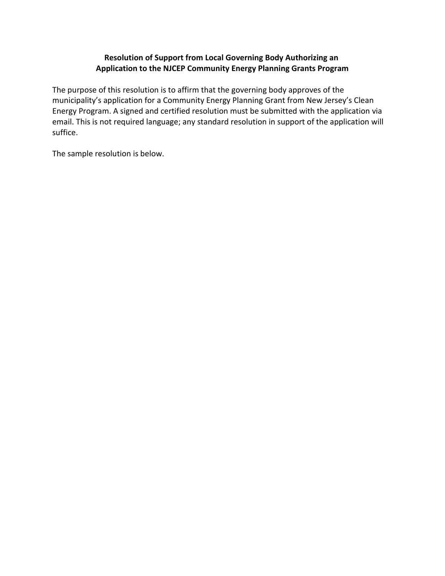## **Resolution of Support from Local Governing Body Authorizing an Application to the NJCEP Community Energy Planning Grants Program**

The purpose of this resolution is to affirm that the governing body approves of the municipality's application for a Community Energy Planning Grant from New Jersey's Clean Energy Program. A signed and certified resolution must be submitted with the application via email. This is not required language; any standard resolution in support of the application will suffice.

The sample resolution is below.